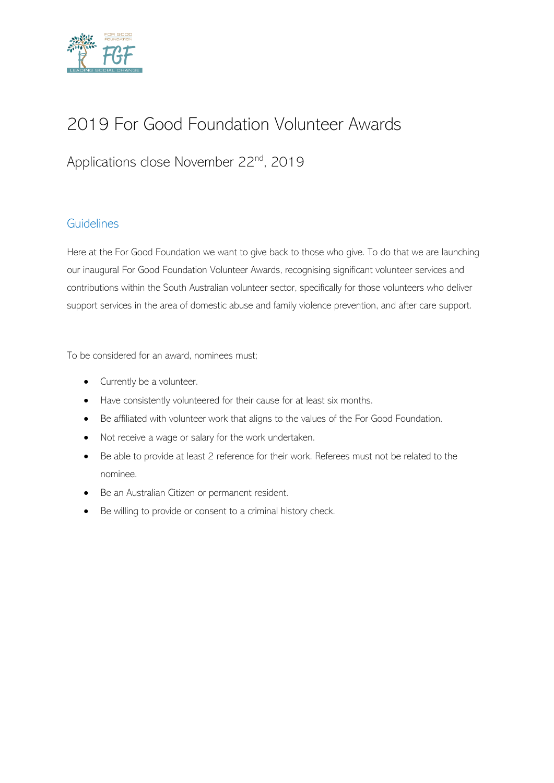

# 2019 For Good Foundation Volunteer Awards

# Applications close November 22<sup>nd</sup>, 2019

#### **Guidelines**

Here at the For Good Foundation we want to give back to those who give. To do that we are launching our inaugural For Good Foundation Volunteer Awards, recognising significant volunteer services and contributions within the South Australian volunteer sector, specifically for those volunteers who deliver support services in the area of domestic abuse and family violence prevention, and after care support.

To be considered for an award, nominees must;

- Currently be a volunteer.
- Have consistently volunteered for their cause for at least six months.
- Be affiliated with volunteer work that aligns to the values of the For Good Foundation.
- Not receive a wage or salary for the work undertaken.
- Be able to provide at least 2 reference for their work. Referees must not be related to the nominee.
- Be an Australian Citizen or permanent resident.
- Be willing to provide or consent to a criminal history check.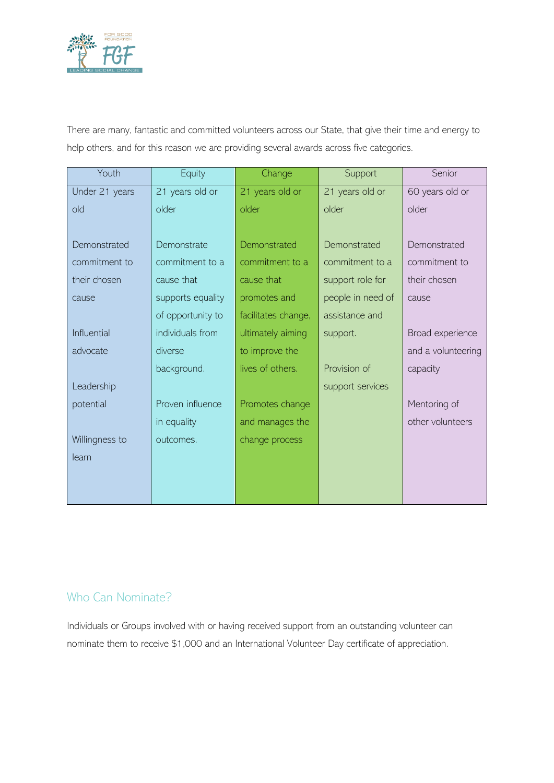

There are many, fantastic and committed volunteers across our State, that give their time and energy to help others, and for this reason we are providing several awards across five categories.

| Youth          | Equity            | Change              | Support           | Senior             |
|----------------|-------------------|---------------------|-------------------|--------------------|
| Under 21 years | 21 years old or   | 21 years old or     | 21 years old or   | 60 years old or    |
| old            | older             | older               | older             | older              |
|                |                   |                     |                   |                    |
| Demonstrated   | Demonstrate       | Demonstrated        | Demonstrated      | Demonstrated       |
| commitment to  | commitment to a   | commitment to a     | commitment to a   | commitment to      |
| their chosen   | cause that        | cause that          | support role for  | their chosen       |
| cause          | supports equality | promotes and        | people in need of | cause              |
|                | of opportunity to | facilitates change, | assistance and    |                    |
| Influential    | individuals from  | ultimately aiming   | support.          | Broad experience   |
| advocate       | diverse           | to improve the      |                   | and a volunteering |
|                | background.       | lives of others.    | Provision of      | capacity           |
| Leadership     |                   |                     | support services  |                    |
| potential      | Proven influence  | Promotes change     |                   | Mentoring of       |
|                | in equality       | and manages the     |                   | other volunteers   |
| Willingness to | outcomes.         | change process      |                   |                    |
| learn          |                   |                     |                   |                    |
|                |                   |                     |                   |                    |
|                |                   |                     |                   |                    |

#### Who Can Nominate?

Individuals or Groups involved with or having received support from an outstanding volunteer can nominate them to receive \$1,000 and an International Volunteer Day certificate of appreciation.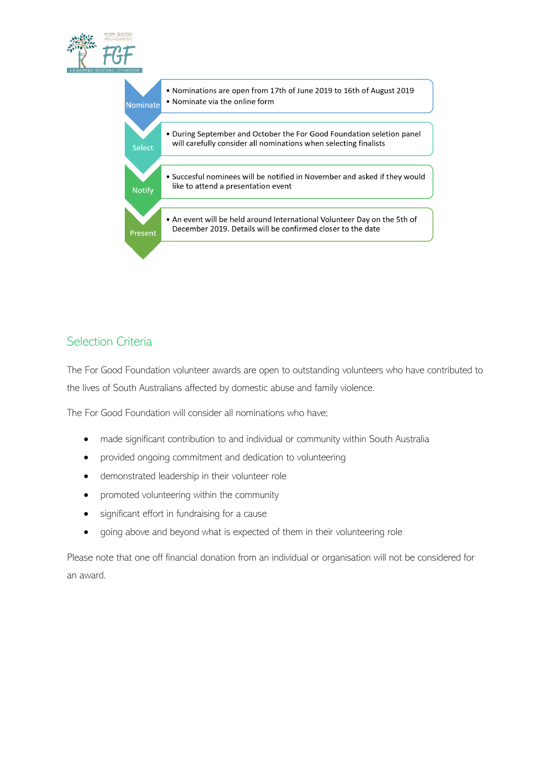



## Selection Criteria

The For Good Foundation volunteer awards are open to outstanding volunteers who have contributed to the lives of South Australians affected by domestic abuse and family violence.

The For Good Foundation will consider all nominations who have;

- made significant contribution to and individual or community within South Australia
- provided ongoing commitment and dedication to volunteering
- demonstrated leadership in their volunteer role
- promoted volunteering within the community
- significant effort in fundraising for a cause
- going above and beyond what is expected of them in their volunteering role

Please note that one off financial donation from an individual or organisation will not be considered for an award.